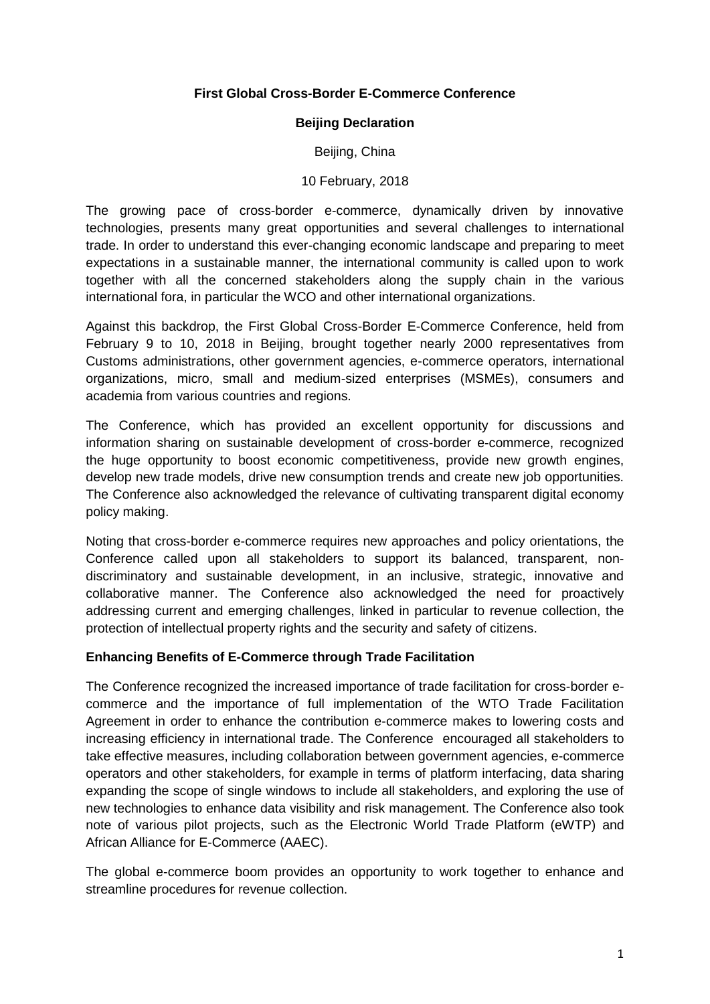### **First Global Cross-Border E-Commerce Conference**

## **Beijing Declaration**

## Beijing, China

### 10 February, 2018

The growing pace of cross-border e-commerce, dynamically driven by innovative technologies, presents many great opportunities and several challenges to international trade. In order to understand this ever-changing economic landscape and preparing to meet expectations in a sustainable manner, the international community is called upon to work together with all the concerned stakeholders along the supply chain in the various international fora, in particular the WCO and other international organizations.

Against this backdrop, the First Global Cross-Border E-Commerce Conference, held from February 9 to 10, 2018 in Beijing, brought together nearly 2000 representatives from Customs administrations, other government agencies, e-commerce operators, international organizations, micro, small and medium-sized enterprises (MSMEs), consumers and academia from various countries and regions.

The Conference, which has provided an excellent opportunity for discussions and information sharing on sustainable development of cross-border e-commerce, recognized the huge opportunity to boost economic competitiveness, provide new growth engines, develop new trade models, drive new consumption trends and create new job opportunities. The Conference also acknowledged the relevance of cultivating transparent digital economy policy making.

Noting that cross-border e-commerce requires new approaches and policy orientations, the Conference called upon all stakeholders to support its balanced, transparent, nondiscriminatory and sustainable development, in an inclusive, strategic, innovative and collaborative manner. The Conference also acknowledged the need for proactively addressing current and emerging challenges, linked in particular to revenue collection, the protection of intellectual property rights and the security and safety of citizens.

### **Enhancing Benefits of E-Commerce through Trade Facilitation**

The Conference recognized the increased importance of trade facilitation for cross-border ecommerce and the importance of full implementation of the WTO Trade Facilitation Agreement in order to enhance the contribution e-commerce makes to lowering costs and increasing efficiency in international trade. The Conference encouraged all stakeholders to take effective measures, including collaboration between government agencies, e-commerce operators and other stakeholders, for example in terms of platform interfacing, data sharing expanding the scope of single windows to include all stakeholders, and exploring the use of new technologies to enhance data visibility and risk management. The Conference also took note of various pilot projects, such as the Electronic World Trade Platform (eWTP) and African Alliance for E-Commerce (AAEC).

The global e-commerce boom provides an opportunity to work together to enhance and streamline procedures for revenue collection.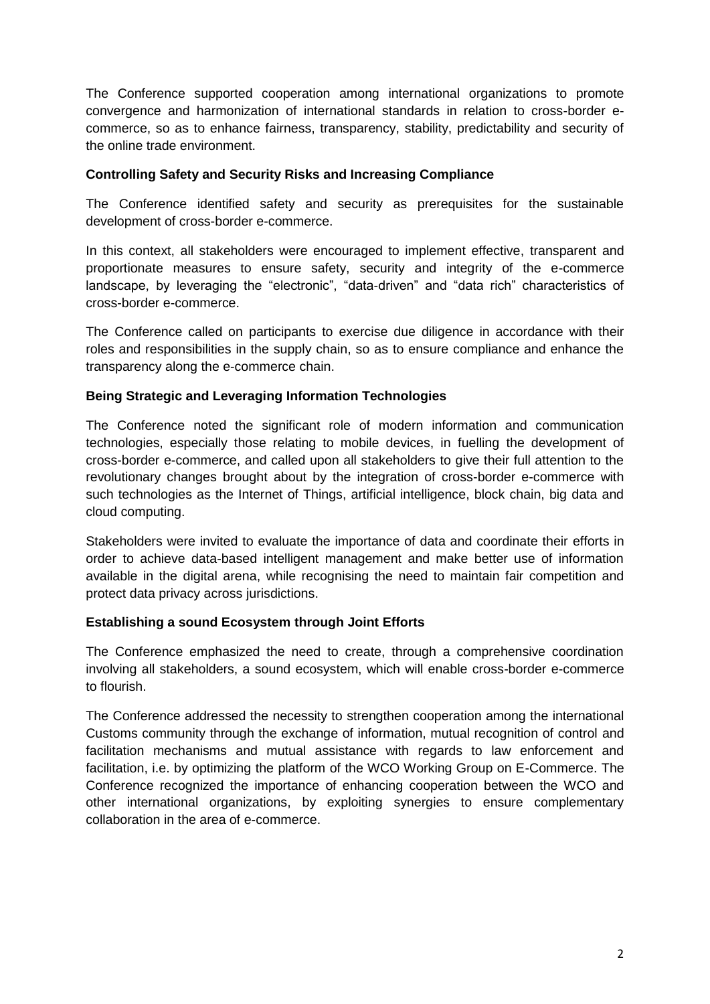The Conference supported cooperation among international organizations to promote convergence and harmonization of international standards in relation to cross-border ecommerce, so as to enhance fairness, transparency, stability, predictability and security of the online trade environment.

# **Controlling Safety and Security Risks and Increasing Compliance**

The Conference identified safety and security as prerequisites for the sustainable development of cross-border e-commerce.

In this context, all stakeholders were encouraged to implement effective, transparent and proportionate measures to ensure safety, security and integrity of the e-commerce landscape, by leveraging the "electronic", "data-driven" and "data rich" characteristics of cross-border e-commerce.

The Conference called on participants to exercise due diligence in accordance with their roles and responsibilities in the supply chain, so as to ensure compliance and enhance the transparency along the e-commerce chain.

# **Being Strategic and Leveraging Information Technologies**

The Conference noted the significant role of modern information and communication technologies, especially those relating to mobile devices, in fuelling the development of cross-border e-commerce, and called upon all stakeholders to give their full attention to the revolutionary changes brought about by the integration of cross-border e-commerce with such technologies as the Internet of Things, artificial intelligence, block chain, big data and cloud computing.

Stakeholders were invited to evaluate the importance of data and coordinate their efforts in order to achieve data-based intelligent management and make better use of information available in the digital arena, while recognising the need to maintain fair competition and protect data privacy across jurisdictions.

### **Establishing a sound Ecosystem through Joint Efforts**

The Conference emphasized the need to create, through a comprehensive coordination involving all stakeholders, a sound ecosystem, which will enable cross-border e-commerce to flourish.

The Conference addressed the necessity to strengthen cooperation among the international Customs community through the exchange of information, mutual recognition of control and facilitation mechanisms and mutual assistance with regards to law enforcement and facilitation, i.e. by optimizing the platform of the WCO Working Group on E-Commerce. The Conference recognized the importance of enhancing cooperation between the WCO and other international organizations, by exploiting synergies to ensure complementary collaboration in the area of e-commerce.